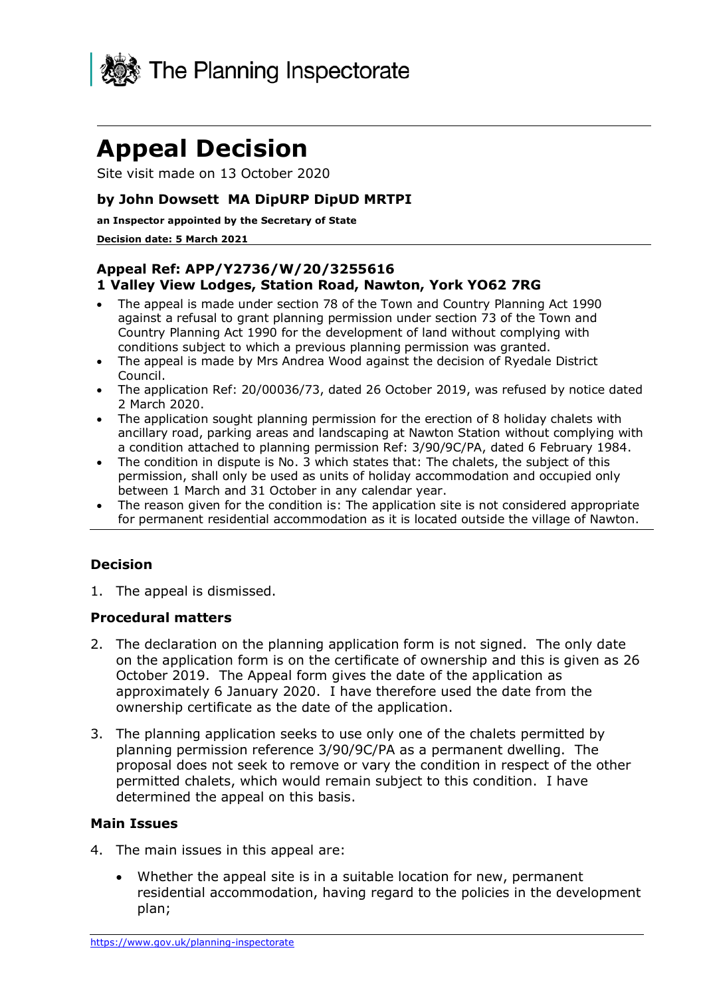

# **Appeal Decision**

Site visit made on 13 October 2020

## **by John Dowsett MA DipURP DipUD MRTPI**

#### **an Inspector appointed by the Secretary of State**

#### **Decision date: 5 March 2021**

## **Appeal Ref: APP/Y2736/W/20/3255616 1 Valley View Lodges, Station Road, Nawton, York YO62 7RG**

- The appeal is made under section 78 of the Town and Country Planning Act 1990 against a refusal to grant planning permission under section 73 of the Town and Country Planning Act 1990 for the development of land without complying with conditions subject to which a previous planning permission was granted.
- The appeal is made by Mrs Andrea Wood against the decision of Ryedale District Council.
- The application Ref: 20/00036/73, dated 26 October 2019, was refused by notice dated 2 March 2020.
- The application sought planning permission for the erection of 8 holiday chalets with ancillary road, parking areas and landscaping at Nawton Station without complying with a condition attached to planning permission Ref: 3/90/9C/PA, dated 6 February 1984.
- The condition in dispute is No. 3 which states that: The chalets, the subject of this permission, shall only be used as units of holiday accommodation and occupied only between 1 March and 31 October in any calendar year.
- The reason given for the condition is: The application site is not considered appropriate for permanent residential accommodation as it is located outside the village of Nawton.

## **Decision**

1. The appeal is dismissed.

## **Procedural matters**

- 2. The declaration on the planning application form is not signed. The only date on the application form is on the certificate of ownership and this is given as 26 October 2019. The Appeal form gives the date of the application as approximately 6 January 2020. I have therefore used the date from the ownership certificate as the date of the application.
- 3. The planning application seeks to use only one of the chalets permitted by planning permission reference 3/90/9C/PA as a permanent dwelling. The proposal does not seek to remove or vary the condition in respect of the other permitted chalets, which would remain subject to this condition. I have determined the appeal on this basis.

## **Main Issues**

- 4. The main issues in this appeal are:
	- Whether the appeal site is in a suitable location for new, permanent residential accommodation, having regard to the policies in the development plan;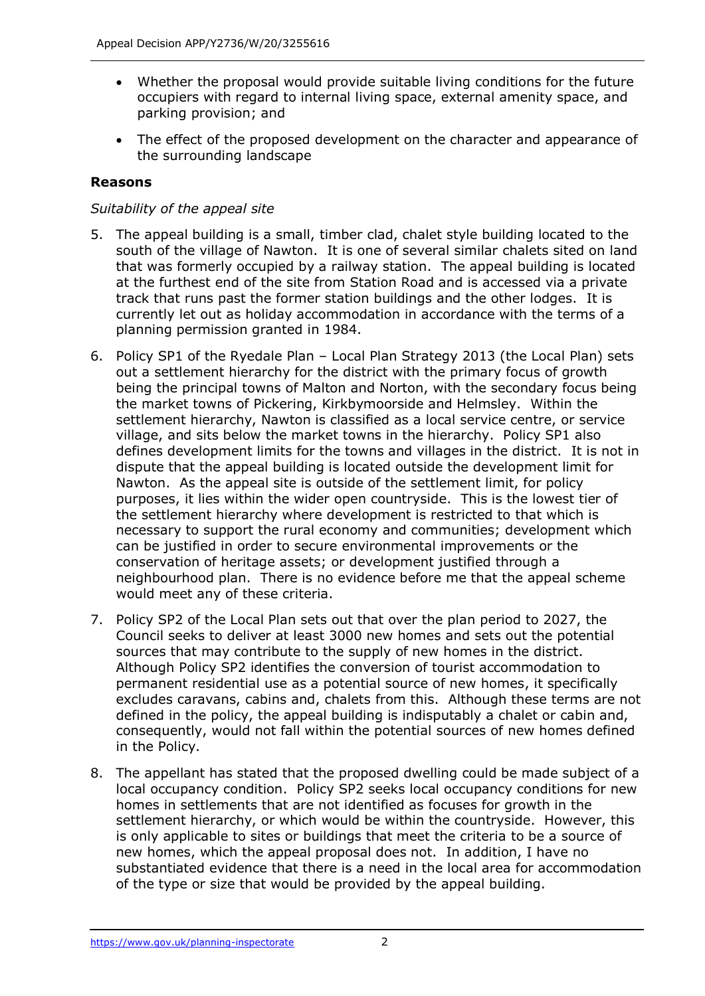- Whether the proposal would provide suitable living conditions for the future occupiers with regard to internal living space, external amenity space, and parking provision; and
- The effect of the proposed development on the character and appearance of the surrounding landscape

## **Reasons**

## *Suitability of the appeal site*

- 5. The appeal building is a small, timber clad, chalet style building located to the south of the village of Nawton. It is one of several similar chalets sited on land that was formerly occupied by a railway station. The appeal building is located at the furthest end of the site from Station Road and is accessed via a private track that runs past the former station buildings and the other lodges. It is currently let out as holiday accommodation in accordance with the terms of a planning permission granted in 1984.
- 6. Policy SP1 of the Ryedale Plan Local Plan Strategy 2013 (the Local Plan) sets out a settlement hierarchy for the district with the primary focus of growth being the principal towns of Malton and Norton, with the secondary focus being the market towns of Pickering, Kirkbymoorside and Helmsley. Within the settlement hierarchy, Nawton is classified as a local service centre, or service village, and sits below the market towns in the hierarchy. Policy SP1 also defines development limits for the towns and villages in the district. It is not in dispute that the appeal building is located outside the development limit for Nawton. As the appeal site is outside of the settlement limit, for policy purposes, it lies within the wider open countryside. This is the lowest tier of the settlement hierarchy where development is restricted to that which is necessary to support the rural economy and communities; development which can be justified in order to secure environmental improvements or the conservation of heritage assets; or development justified through a neighbourhood plan. There is no evidence before me that the appeal scheme would meet any of these criteria.
- 7. Policy SP2 of the Local Plan sets out that over the plan period to 2027, the Council seeks to deliver at least 3000 new homes and sets out the potential sources that may contribute to the supply of new homes in the district. Although Policy SP2 identifies the conversion of tourist accommodation to permanent residential use as a potential source of new homes, it specifically excludes caravans, cabins and, chalets from this. Although these terms are not defined in the policy, the appeal building is indisputably a chalet or cabin and, consequently, would not fall within the potential sources of new homes defined in the Policy.
- 8. The appellant has stated that the proposed dwelling could be made subject of a local occupancy condition. Policy SP2 seeks local occupancy conditions for new homes in settlements that are not identified as focuses for growth in the settlement hierarchy, or which would be within the countryside. However, this is only applicable to sites or buildings that meet the criteria to be a source of new homes, which the appeal proposal does not. In addition, I have no substantiated evidence that there is a need in the local area for accommodation of the type or size that would be provided by the appeal building.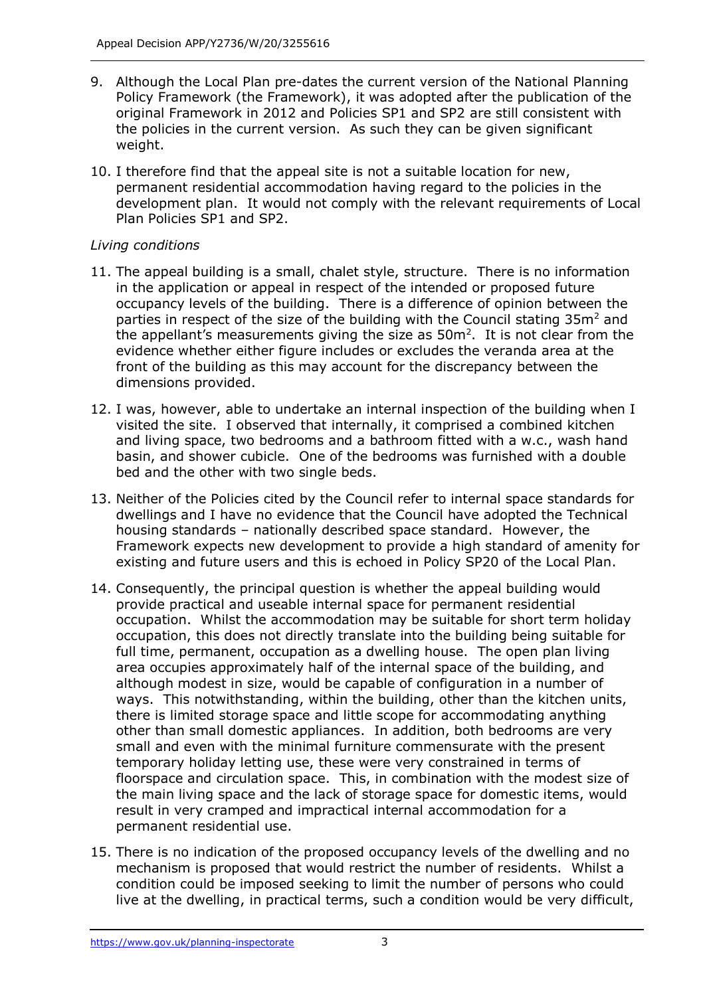- 9. Although the Local Plan pre-dates the current version of the National Planning Policy Framework (the Framework), it was adopted after the publication of the original Framework in 2012 and Policies SP1 and SP2 are still consistent with the policies in the current version. As such they can be given significant weight.
- 10. I therefore find that the appeal site is not a suitable location for new, permanent residential accommodation having regard to the policies in the development plan. It would not comply with the relevant requirements of Local Plan Policies SP1 and SP2.

# *Living conditions*

- 11. The appeal building is a small, chalet style, structure. There is no information in the application or appeal in respect of the intended or proposed future occupancy levels of the building. There is a difference of opinion between the parties in respect of the size of the building with the Council stating 35m<sup>2</sup> and the appellant's measurements giving the size as  $50m^2$ . It is not clear from the evidence whether either figure includes or excludes the veranda area at the front of the building as this may account for the discrepancy between the dimensions provided.
- 12. I was, however, able to undertake an internal inspection of the building when I visited the site. I observed that internally, it comprised a combined kitchen and living space, two bedrooms and a bathroom fitted with a w.c., wash hand basin, and shower cubicle. One of the bedrooms was furnished with a double bed and the other with two single beds.
- 13. Neither of the Policies cited by the Council refer to internal space standards for dwellings and I have no evidence that the Council have adopted the Technical housing standards – nationally described space standard. However, the Framework expects new development to provide a high standard of amenity for existing and future users and this is echoed in Policy SP20 of the Local Plan.
- 14. Consequently, the principal question is whether the appeal building would provide practical and useable internal space for permanent residential occupation. Whilst the accommodation may be suitable for short term holiday occupation, this does not directly translate into the building being suitable for full time, permanent, occupation as a dwelling house. The open plan living area occupies approximately half of the internal space of the building, and although modest in size, would be capable of configuration in a number of ways. This notwithstanding, within the building, other than the kitchen units, there is limited storage space and little scope for accommodating anything other than small domestic appliances. In addition, both bedrooms are very small and even with the minimal furniture commensurate with the present temporary holiday letting use, these were very constrained in terms of floorspace and circulation space. This, in combination with the modest size of the main living space and the lack of storage space for domestic items, would result in very cramped and impractical internal accommodation for a permanent residential use.
- 15. There is no indication of the proposed occupancy levels of the dwelling and no mechanism is proposed that would restrict the number of residents. Whilst a condition could be imposed seeking to limit the number of persons who could live at the dwelling, in practical terms, such a condition would be very difficult,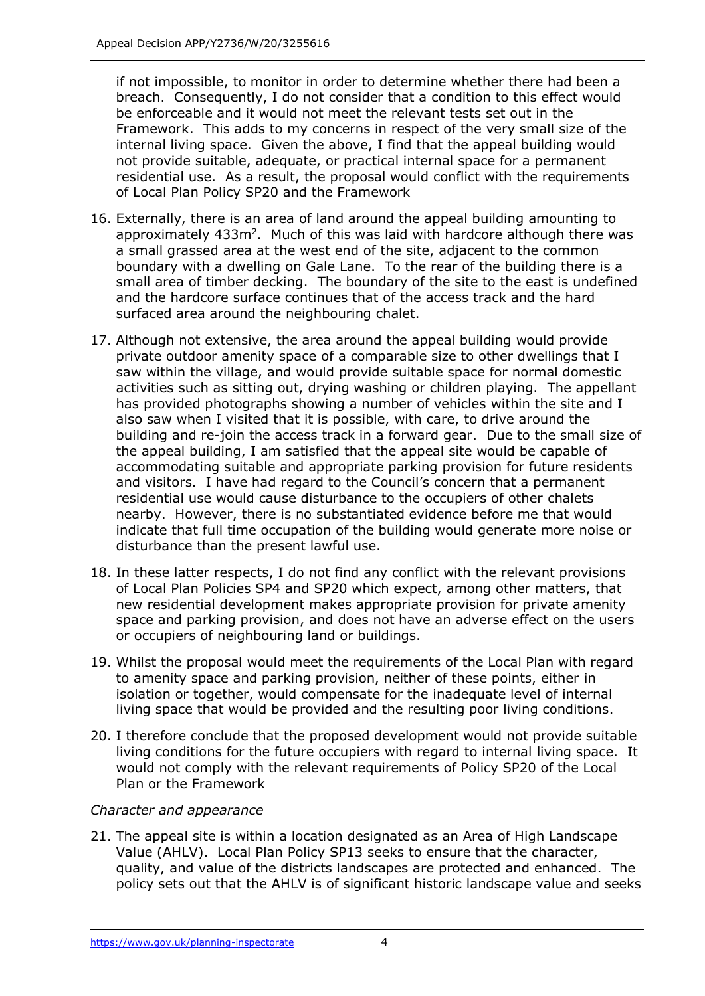if not impossible, to monitor in order to determine whether there had been a breach. Consequently, I do not consider that a condition to this effect would be enforceable and it would not meet the relevant tests set out in the Framework. This adds to my concerns in respect of the very small size of the internal living space. Given the above, I find that the appeal building would not provide suitable, adequate, or practical internal space for a permanent residential use. As a result, the proposal would conflict with the requirements of Local Plan Policy SP20 and the Framework

- 16. Externally, there is an area of land around the appeal building amounting to approximately  $433m^2$ . Much of this was laid with hardcore although there was a small grassed area at the west end of the site, adjacent to the common boundary with a dwelling on Gale Lane. To the rear of the building there is a small area of timber decking. The boundary of the site to the east is undefined and the hardcore surface continues that of the access track and the hard surfaced area around the neighbouring chalet.
- 17. Although not extensive, the area around the appeal building would provide private outdoor amenity space of a comparable size to other dwellings that I saw within the village, and would provide suitable space for normal domestic activities such as sitting out, drying washing or children playing. The appellant has provided photographs showing a number of vehicles within the site and I also saw when I visited that it is possible, with care, to drive around the building and re-join the access track in a forward gear. Due to the small size of the appeal building, I am satisfied that the appeal site would be capable of accommodating suitable and appropriate parking provision for future residents and visitors. I have had regard to the Council's concern that a permanent residential use would cause disturbance to the occupiers of other chalets nearby. However, there is no substantiated evidence before me that would indicate that full time occupation of the building would generate more noise or disturbance than the present lawful use.
- 18. In these latter respects, I do not find any conflict with the relevant provisions of Local Plan Policies SP4 and SP20 which expect, among other matters, that new residential development makes appropriate provision for private amenity space and parking provision, and does not have an adverse effect on the users or occupiers of neighbouring land or buildings.
- 19. Whilst the proposal would meet the requirements of the Local Plan with regard to amenity space and parking provision, neither of these points, either in isolation or together, would compensate for the inadequate level of internal living space that would be provided and the resulting poor living conditions.
- 20. I therefore conclude that the proposed development would not provide suitable living conditions for the future occupiers with regard to internal living space. It would not comply with the relevant requirements of Policy SP20 of the Local Plan or the Framework

## *Character and appearance*

21. The appeal site is within a location designated as an Area of High Landscape Value (AHLV). Local Plan Policy SP13 seeks to ensure that the character, quality, and value of the districts landscapes are protected and enhanced. The policy sets out that the AHLV is of significant historic landscape value and seeks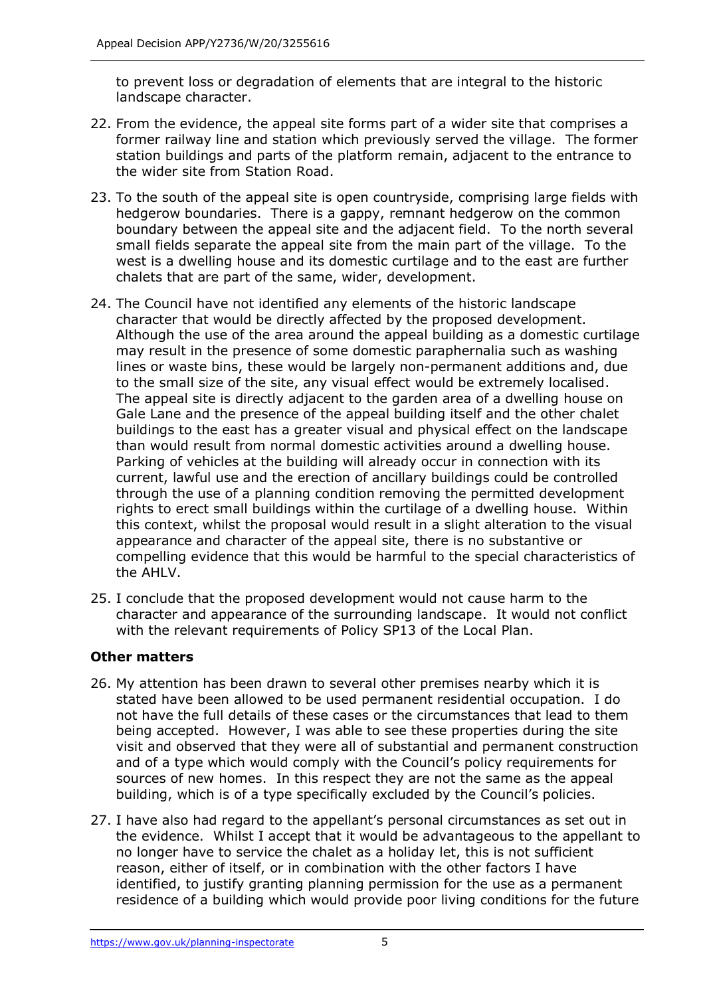to prevent loss or degradation of elements that are integral to the historic landscape character.

- 22. From the evidence, the appeal site forms part of a wider site that comprises a former railway line and station which previously served the village. The former station buildings and parts of the platform remain, adjacent to the entrance to the wider site from Station Road.
- 23. To the south of the appeal site is open countryside, comprising large fields with hedgerow boundaries. There is a gappy, remnant hedgerow on the common boundary between the appeal site and the adjacent field. To the north several small fields separate the appeal site from the main part of the village. To the west is a dwelling house and its domestic curtilage and to the east are further chalets that are part of the same, wider, development.
- 24. The Council have not identified any elements of the historic landscape character that would be directly affected by the proposed development. Although the use of the area around the appeal building as a domestic curtilage may result in the presence of some domestic paraphernalia such as washing lines or waste bins, these would be largely non-permanent additions and, due to the small size of the site, any visual effect would be extremely localised. The appeal site is directly adjacent to the garden area of a dwelling house on Gale Lane and the presence of the appeal building itself and the other chalet buildings to the east has a greater visual and physical effect on the landscape than would result from normal domestic activities around a dwelling house. Parking of vehicles at the building will already occur in connection with its current, lawful use and the erection of ancillary buildings could be controlled through the use of a planning condition removing the permitted development rights to erect small buildings within the curtilage of a dwelling house. Within this context, whilst the proposal would result in a slight alteration to the visual appearance and character of the appeal site, there is no substantive or compelling evidence that this would be harmful to the special characteristics of the AHLV.
- 25. I conclude that the proposed development would not cause harm to the character and appearance of the surrounding landscape. It would not conflict with the relevant requirements of Policy SP13 of the Local Plan.

## **Other matters**

- 26. My attention has been drawn to several other premises nearby which it is stated have been allowed to be used permanent residential occupation. I do not have the full details of these cases or the circumstances that lead to them being accepted. However, I was able to see these properties during the site visit and observed that they were all of substantial and permanent construction and of a type which would comply with the Council's policy requirements for sources of new homes. In this respect they are not the same as the appeal building, which is of a type specifically excluded by the Council's policies.
- 27. I have also had regard to the appellant's personal circumstances as set out in the evidence. Whilst I accept that it would be advantageous to the appellant to no longer have to service the chalet as a holiday let, this is not sufficient reason, either of itself, or in combination with the other factors I have identified, to justify granting planning permission for the use as a permanent residence of a building which would provide poor living conditions for the future